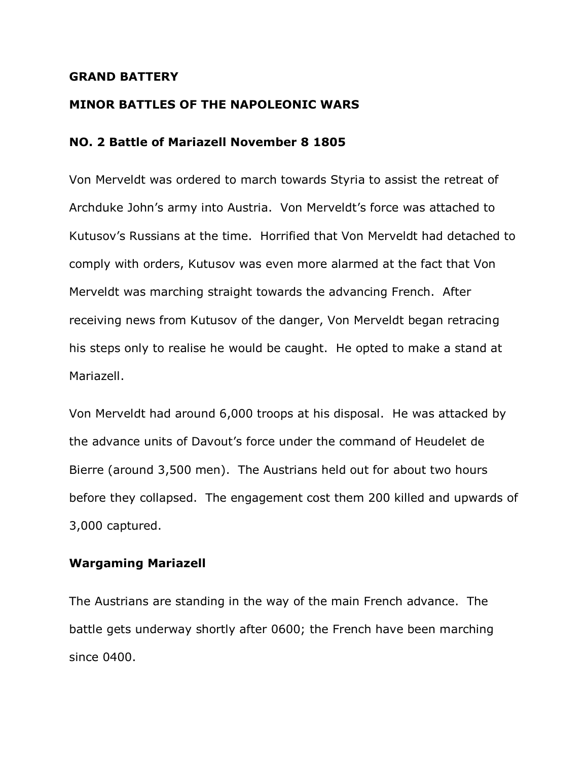## **GRAND BATTERY**

## **MINOR BATTLES OF THE NAPOLEONIC WARS**

## **NO. 2 Battle of Mariazell November 8 1805**

Von Merveldt was ordered to march towards Styria to assist the retreat of Archduke John's army into Austria. Von Merveldt's force was attached to Kutusov's Russians at the time. Horrified that Von Merveldt had detached to comply with orders, Kutusov was even more alarmed at the fact that Von Merveldt was marching straight towards the advancing French. After receiving news from Kutusov of the danger, Von Merveldt began retracing his steps only to realise he would be caught. He opted to make a stand at Mariazell.

Von Merveldt had around 6,000 troops at his disposal. He was attacked by the advance units of Davout's force under the command of Heudelet de Bierre (around 3,500 men). The Austrians held out for about two hours before they collapsed. The engagement cost them 200 killed and upwards of 3,000 captured.

## **Wargaming Mariazell**

The Austrians are standing in the way of the main French advance. The battle gets underway shortly after 0600; the French have been marching since 0400.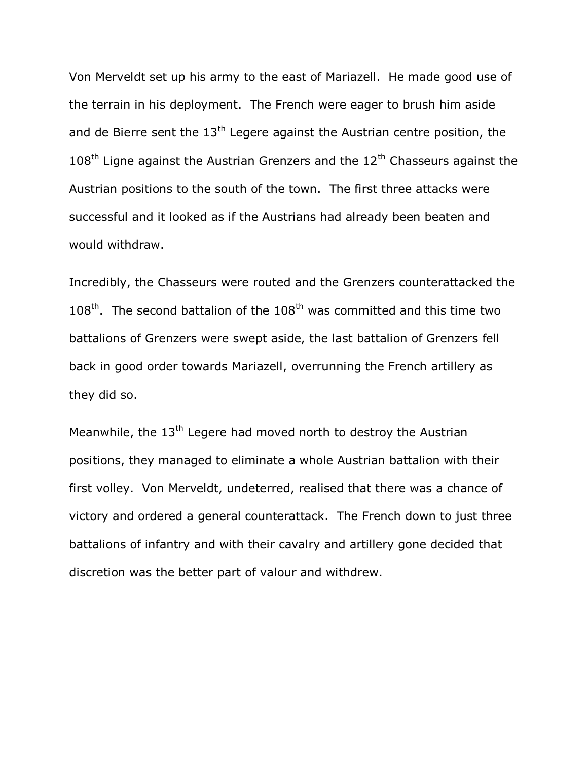Von Merveldt set up his army to the east of Mariazell. He made good use of the terrain in his deployment. The French were eager to brush him aside and de Bierre sent the  $13<sup>th</sup>$  Legere against the Austrian centre position, the  $108<sup>th</sup>$  Ligne against the Austrian Grenzers and the  $12<sup>th</sup>$  Chasseurs against the Austrian positions to the south of the town. The first three attacks were successful and it looked as if the Austrians had already been beaten and would withdraw.

Incredibly, the Chasseurs were routed and the Grenzers counterattacked the  $108<sup>th</sup>$ . The second battalion of the  $108<sup>th</sup>$  was committed and this time two battalions of Grenzers were swept aside, the last battalion of Grenzers fell back in good order towards Mariazell, overrunning the French artillery as they did so.

Meanwhile, the  $13<sup>th</sup>$  Legere had moved north to destroy the Austrian positions, they managed to eliminate a whole Austrian battalion with their first volley. Von Merveldt, undeterred, realised that there was a chance of victory and ordered a general counterattack. The French down to just three battalions of infantry and with their cavalry and artillery gone decided that discretion was the better part of valour and withdrew.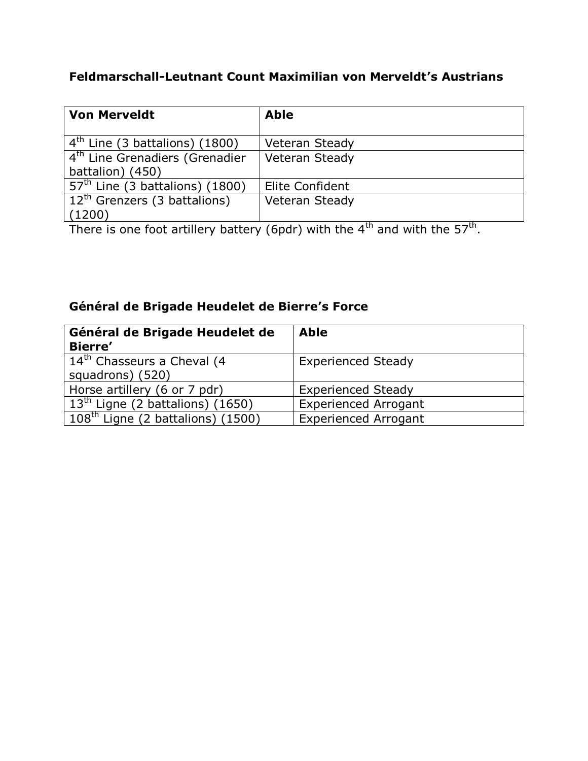# **Feldmarschall-Leutnant Count Maximilian von Merveldt's Austrians**

| <b>Von Merveldt</b>                        | <b>Able</b>     |
|--------------------------------------------|-----------------|
| $4th$ Line (3 battalions) (1800)           | Veteran Steady  |
| 4 <sup>th</sup> Line Grenadiers (Grenadier | Veteran Steady  |
| battalion) (450)                           |                 |
| $57th$ Line (3 battalions) (1800)          | Elite Confident |
| $12th$ Grenzers (3 battalions)             | Veteran Steady  |
| (1200)                                     | .<br>. .        |

There is one foot artillery battery (6pdr) with the 4<sup>th</sup> and with the 57<sup>th</sup>.

# **Général de Brigade Heudelet de Bierre's Force**

| Général de Brigade Heudelet de         | <b>Able</b>                 |
|----------------------------------------|-----------------------------|
| <b>Bierre'</b>                         |                             |
| 14 <sup>th</sup> Chasseurs a Cheval (4 | <b>Experienced Steady</b>   |
| squadrons) (520)                       |                             |
| Horse artillery (6 or 7 pdr)           | <b>Experienced Steady</b>   |
| $13th$ Ligne (2 battalions) (1650)     | <b>Experienced Arrogant</b> |
| $108th$ Ligne (2 battalions) (1500)    | <b>Experienced Arrogant</b> |